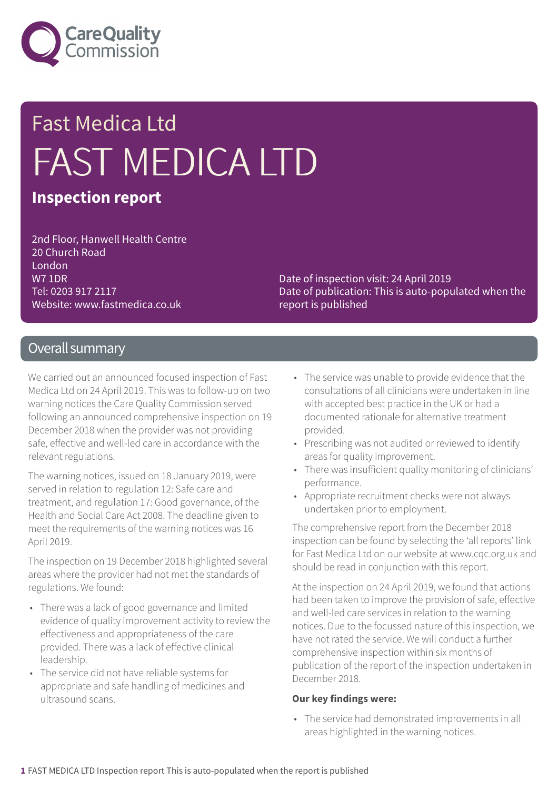

# Fast Medica Ltd FAST MEDICA LTD

### **Inspection report**

2nd Floor, Hanwell Health Centre 20 Church Road London W7 1DR Tel: 0203 917 2117 Website: www.fastmedica.co.uk

Date of inspection visit: 24 April 2019 Date of publication: This is auto-populated when the report is published

### Overall summary

We carried out an announced focused inspection of Fast Medica Ltd on 24 April 2019. This was to follow-up on two warning notices the Care Quality Commission served following an announced comprehensive inspection on 19 December 2018 when the provider was not providing safe, effective and well-led care in accordance with the relevant regulations.

The warning notices, issued on 18 January 2019, were served in relation to regulation 12: Safe care and treatment, and regulation 17: Good governance, of the Health and Social Care Act 2008. The deadline given to meet the requirements of the warning notices was 16 April 2019.

The inspection on 19 December 2018 highlighted several areas where the provider had not met the standards of regulations. We found:

- There was a lack of good governance and limited evidence of quality improvement activity to review the effectiveness and appropriateness of the care provided. There was a lack of effective clinical leadership.
- The service did not have reliable systems for appropriate and safe handling of medicines and ultrasound scans.
- The service was unable to provide evidence that the consultations of all clinicians were undertaken in line with accepted best practice in the UK or had a documented rationale for alternative treatment provided.
- Prescribing was not audited or reviewed to identify areas for quality improvement.
- There was insufficient quality monitoring of clinicians' performance.
- Appropriate recruitment checks were not always undertaken prior to employment.

The comprehensive report from the December 2018 inspection can be found by selecting the 'all reports' link for Fast Medica Ltd on our website at www.cqc.org.uk and should be read in conjunction with this report.

At the inspection on 24 April 2019, we found that actions had been taken to improve the provision of safe, effective and well-led care services in relation to the warning notices. Due to the focussed nature of this inspection, we have not rated the service. We will conduct a further comprehensive inspection within six months of publication of the report of the inspection undertaken in December 2018.

#### **Our key findings were:**

• The service had demonstrated improvements in all areas highlighted in the warning notices.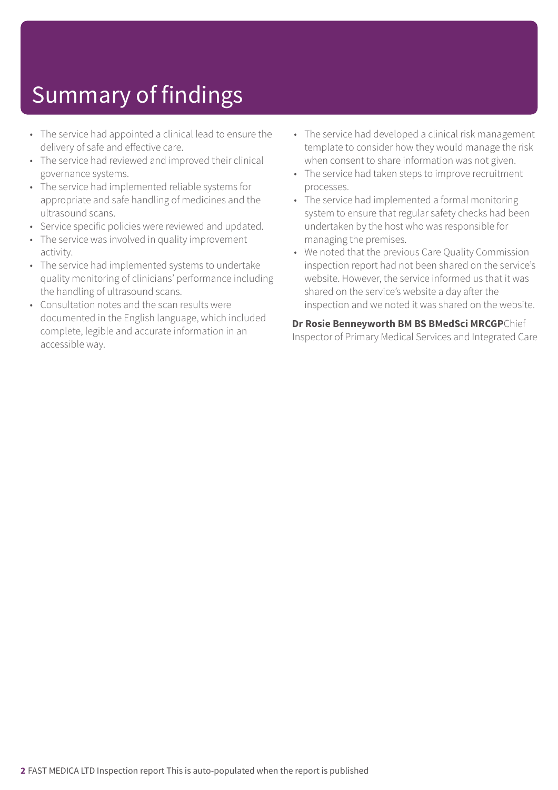## Summary of findings

- The service had appointed a clinical lead to ensure the delivery of safe and effective care.
- The service had reviewed and improved their clinical governance systems.
- The service had implemented reliable systems for appropriate and safe handling of medicines and the ultrasound scans.
- Service specific policies were reviewed and updated.
- The service was involved in quality improvement activity.
- The service had implemented systems to undertake quality monitoring of clinicians' performance including the handling of ultrasound scans.
- Consultation notes and the scan results were documented in the English language, which included complete, legible and accurate information in an accessible way.
- The service had developed a clinical risk management template to consider how they would manage the risk when consent to share information was not given.
- The service had taken steps to improve recruitment processes.
- The service had implemented a formal monitoring system to ensure that regular safety checks had been undertaken by the host who was responsible for managing the premises.
- We noted that the previous Care Quality Commission inspection report had not been shared on the service's website. However, the service informed us that it was shared on the service's website a day after the inspection and we noted it was shared on the website.

**Dr Rosie Benneyworth BM BS BMedSci MRCGP**Chief Inspector of Primary Medical Services and Integrated Care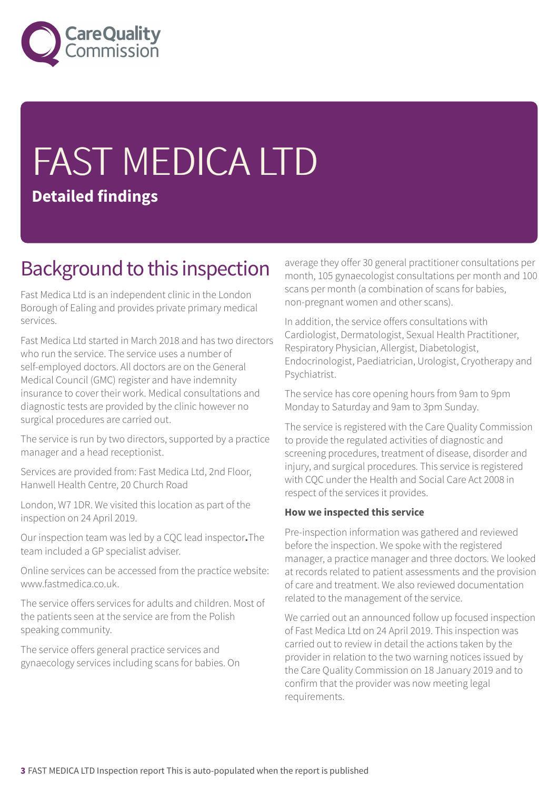

# FAST MEDICA LTD **Detailed findings**

### Background to this inspection

Fast Medica Ltd is an independent clinic in the London Borough of Ealing and provides private primary medical services.

Fast Medica Ltd started in March 2018 and has two directors who run the service. The service uses a number of self-employed doctors. All doctors are on the General Medical Council (GMC) register and have indemnity insurance to cover their work. Medical consultations and diagnostic tests are provided by the clinic however no surgical procedures are carried out.

The service is run by two directors, supported by a practice manager and a head receptionist.

Services are provided from: Fast Medica Ltd, 2nd Floor, Hanwell Health Centre, 20 Church Road

London, W7 1DR. We visited this location as part of the inspection on 24 April 2019.

Our inspection team was led by a CQC lead inspector**.**The team included a GP specialist adviser.

Online services can be accessed from the practice website: www.fastmedica.co.uk.

The service offers services for adults and children. Most of the patients seen at the service are from the Polish speaking community.

The service offers general practice services and gynaecology services including scans for babies. On average they offer 30 general practitioner consultations per month, 105 gynaecologist consultations per month and 100 scans per month (a combination of scans for babies, non-pregnant women and other scans).

In addition, the service offers consultations with Cardiologist, Dermatologist, Sexual Health Practitioner, Respiratory Physician, Allergist, Diabetologist, Endocrinologist, Paediatrician, Urologist, Cryotherapy and Psychiatrist.

The service has core opening hours from 9am to 9pm Monday to Saturday and 9am to 3pm Sunday.

The service is registered with the Care Quality Commission to provide the regulated activities of diagnostic and screening procedures, treatment of disease, disorder and injury, and surgical procedures. This service is registered with CQC under the Health and Social Care Act 2008 in respect of the services it provides.

#### **How we inspected this service**

Pre-inspection information was gathered and reviewed before the inspection. We spoke with the registered manager, a practice manager and three doctors. We looked at records related to patient assessments and the provision of care and treatment. We also reviewed documentation related to the management of the service.

We carried out an announced follow up focused inspection of Fast Medica Ltd on 24 April 2019. This inspection was carried out to review in detail the actions taken by the provider in relation to the two warning notices issued by the Care Quality Commission on 18 January 2019 and to confirm that the provider was now meeting legal requirements.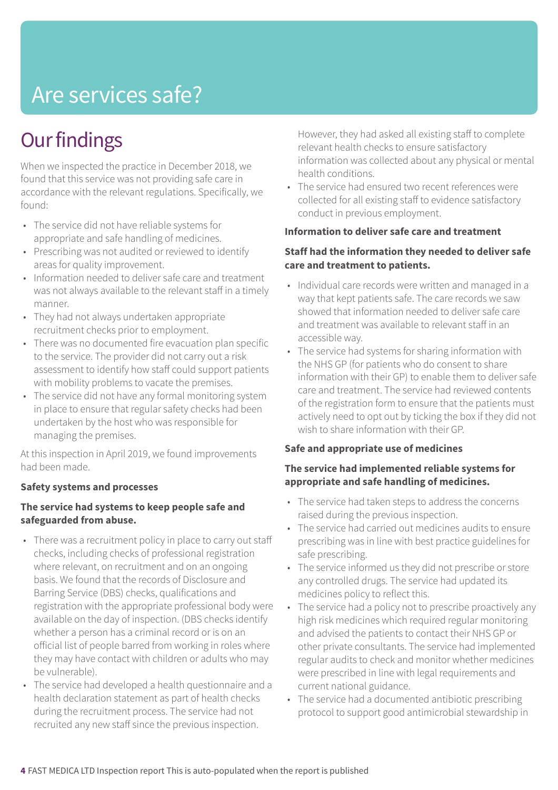### Are services safe?

### **Our findings**

When we inspected the practice in December 2018, we found that this service was not providing safe care in accordance with the relevant regulations. Specifically, we found:

- The service did not have reliable systems for appropriate and safe handling of medicines.
- Prescribing was not audited or reviewed to identify areas for quality improvement.
- Information needed to deliver safe care and treatment was not always available to the relevant staff in a timely manner.
- They had not always undertaken appropriate recruitment checks prior to employment.
- There was no documented fire evacuation plan specific to the service. The provider did not carry out a risk assessment to identify how staff could support patients with mobility problems to vacate the premises.
- The service did not have any formal monitoring system in place to ensure that regular safety checks had been undertaken by the host who was responsible for managing the premises.

At this inspection in April 2019, we found improvements had been made.

### **Safety systems and processes**

### **The service had systems to keep people safe and safeguarded from abuse.**

- There was a recruitment policy in place to carry out staff checks, including checks of professional registration where relevant, on recruitment and on an ongoing basis. We found that the records of Disclosure and Barring Service (DBS) checks, qualifications and registration with the appropriate professional body were available on the day of inspection. (DBS checks identify whether a person has a criminal record or is on an official list of people barred from working in roles where they may have contact with children or adults who may be vulnerable).
- The service had developed a health questionnaire and a health declaration statement as part of health checks during the recruitment process. The service had not recruited any new staff since the previous inspection.

However, they had asked all existing staff to complete relevant health checks to ensure satisfactory information was collected about any physical or mental health conditions.

• The service had ensured two recent references were collected for all existing staff to evidence satisfactory conduct in previous employment.

#### **Information to deliver safe care and treatment**

### **Staff had the information they needed to deliver safe care and treatment to patients.**

- Individual care records were written and managed in a way that kept patients safe. The care records we saw showed that information needed to deliver safe care and treatment was available to relevant staff in an accessible way.
- The service had systems for sharing information with the NHS GP (for patients who do consent to share information with their GP) to enable them to deliver safe care and treatment. The service had reviewed contents of the registration form to ensure that the patients must actively need to opt out by ticking the box if they did not wish to share information with their GP.

### **Safe and appropriate use of medicines**

### **The service had implemented reliable systems for appropriate and safe handling of medicines.**

- The service had taken steps to address the concerns raised during the previous inspection.
- The service had carried out medicines audits to ensure prescribing was in line with best practice guidelines for safe prescribing.
- The service informed us they did not prescribe or store any controlled drugs. The service had updated its medicines policy to reflect this.
- The service had a policy not to prescribe proactively any high risk medicines which required regular monitoring and advised the patients to contact their NHS GP or other private consultants. The service had implemented regular audits to check and monitor whether medicines were prescribed in line with legal requirements and current national guidance.
- The service had a documented antibiotic prescribing protocol to support good antimicrobial stewardship in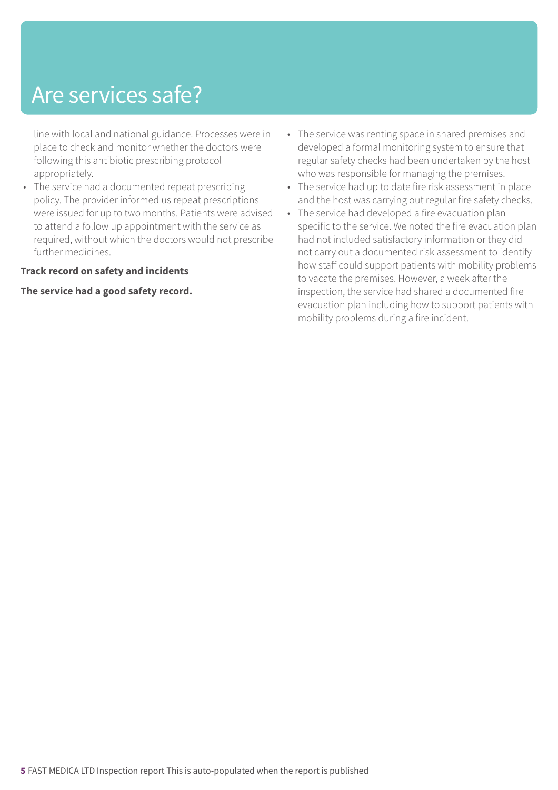### Are services safe?

line with local and national guidance. Processes were in place to check and monitor whether the doctors were following this antibiotic prescribing protocol appropriately.

• The service had a documented repeat prescribing policy. The provider informed us repeat prescriptions were issued for up to two months. Patients were advised to attend a follow up appointment with the service as required, without which the doctors would not prescribe further medicines.

#### **Track record on safety and incidents**

#### **The service had a good safety record.**

- The service was renting space in shared premises and developed a formal monitoring system to ensure that regular safety checks had been undertaken by the host who was responsible for managing the premises.
- The service had up to date fire risk assessment in place and the host was carrying out regular fire safety checks.
- The service had developed a fire evacuation plan specific to the service. We noted the fire evacuation plan had not included satisfactory information or they did not carry out a documented risk assessment to identify how staff could support patients with mobility problems to vacate the premises. However, a week after the inspection, the service had shared a documented fire evacuation plan including how to support patients with mobility problems during a fire incident.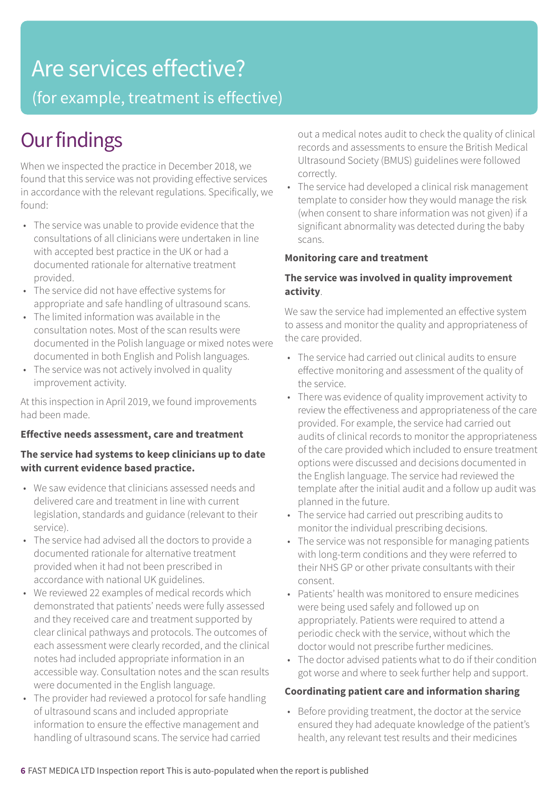### Are services effective?

(for example, treatment is effective)

### **Our findings**

When we inspected the practice in December 2018, we found that this service was not providing effective services in accordance with the relevant regulations. Specifically, we found:

- The service was unable to provide evidence that the consultations of all clinicians were undertaken in line with accepted best practice in the UK or had a documented rationale for alternative treatment provided.
- The service did not have effective systems for appropriate and safe handling of ultrasound scans.
- The limited information was available in the consultation notes. Most of the scan results were documented in the Polish language or mixed notes were documented in both English and Polish languages.
- The service was not actively involved in quality improvement activity.

At this inspection in April 2019, we found improvements had been made.

### **Effective needs assessment, care and treatment**

### **The service had systems to keep clinicians up to date with current evidence based practice.**

- We saw evidence that clinicians assessed needs and delivered care and treatment in line with current legislation, standards and guidance (relevant to their service).
- The service had advised all the doctors to provide a documented rationale for alternative treatment provided when it had not been prescribed in accordance with national UK guidelines.
- We reviewed 22 examples of medical records which demonstrated that patients' needs were fully assessed and they received care and treatment supported by clear clinical pathways and protocols. The outcomes of each assessment were clearly recorded, and the clinical notes had included appropriate information in an accessible way. Consultation notes and the scan results were documented in the English language.
- The provider had reviewed a protocol for safe handling of ultrasound scans and included appropriate information to ensure the effective management and handling of ultrasound scans. The service had carried

out a medical notes audit to check the quality of clinical records and assessments to ensure the British Medical Ultrasound Society (BMUS) guidelines were followed correctly.

• The service had developed a clinical risk management template to consider how they would manage the risk (when consent to share information was not given) if a significant abnormality was detected during the baby scans.

### **Monitoring care and treatment**

### **The service was involved in quality improvement activity**.

We saw the service had implemented an effective system to assess and monitor the quality and appropriateness of the care provided.

- The service had carried out clinical audits to ensure effective monitoring and assessment of the quality of the service.
- There was evidence of quality improvement activity to review the effectiveness and appropriateness of the care provided. For example, the service had carried out audits of clinical records to monitor the appropriateness of the care provided which included to ensure treatment options were discussed and decisions documented in the English language. The service had reviewed the template after the initial audit and a follow up audit was planned in the future.
- The service had carried out prescribing audits to monitor the individual prescribing decisions.
- The service was not responsible for managing patients with long-term conditions and they were referred to their NHS GP or other private consultants with their consent.
- Patients' health was monitored to ensure medicines were being used safely and followed up on appropriately. Patients were required to attend a periodic check with the service, without which the doctor would not prescribe further medicines.
- The doctor advised patients what to do if their condition got worse and where to seek further help and support.

#### **Coordinating patient care and information sharing**

• Before providing treatment, the doctor at the service ensured they had adequate knowledge of the patient's health, any relevant test results and their medicines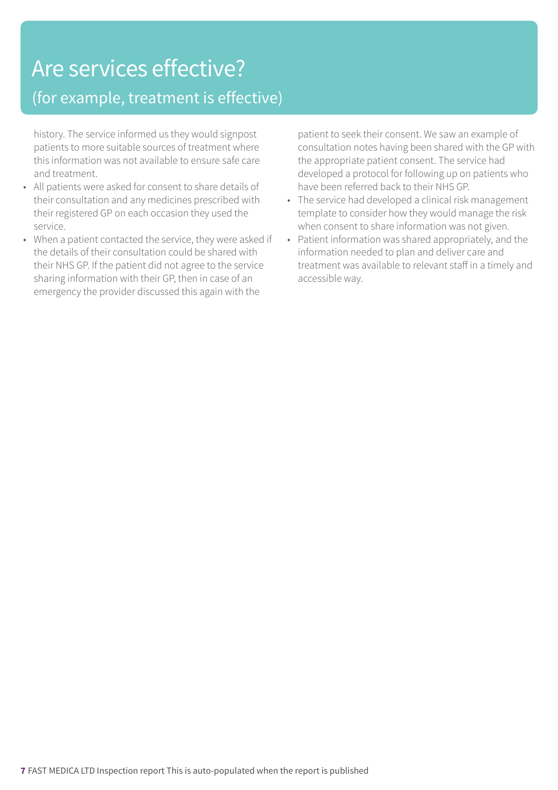### Are services effective?

### (for example, treatment is effective)

history. The service informed us they would signpost patients to more suitable sources of treatment where this information was not available to ensure safe care and treatment.

- All patients were asked for consent to share details of their consultation and any medicines prescribed with their registered GP on each occasion they used the service.
- When a patient contacted the service, they were asked if the details of their consultation could be shared with their NHS GP. If the patient did not agree to the service sharing information with their GP, then in case of an emergency the provider discussed this again with the

patient to seek their consent. We saw an example of consultation notes having been shared with the GP with the appropriate patient consent. The service had developed a protocol for following up on patients who have been referred back to their NHS GP.

- The service had developed a clinical risk management template to consider how they would manage the risk when consent to share information was not given.
- Patient information was shared appropriately, and the information needed to plan and deliver care and treatment was available to relevant staff in a timely and accessible way.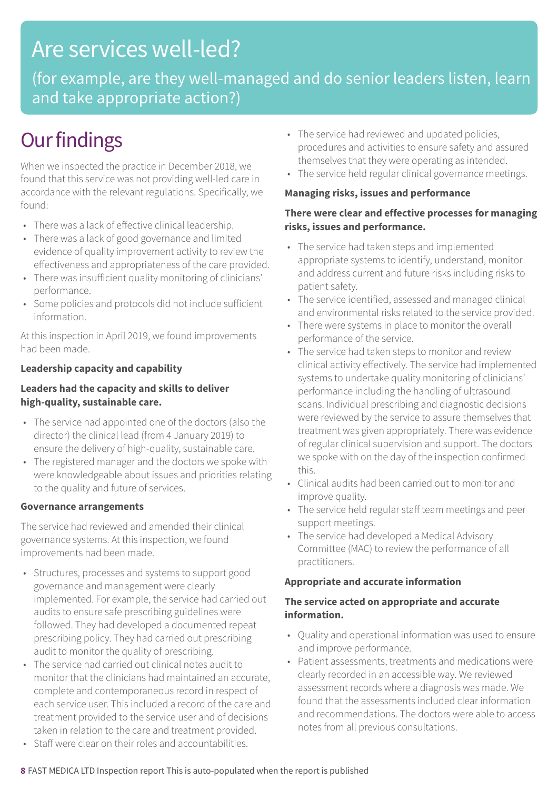### Are services well-led?

(for example, are they well-managed and do senior leaders listen, learn and take appropriate action?)

### **Our findings**

When we inspected the practice in December 2018, we found that this service was not providing well-led care in accordance with the relevant regulations. Specifically, we found:

- There was a lack of effective clinical leadership.
- There was a lack of good governance and limited evidence of quality improvement activity to review the effectiveness and appropriateness of the care provided.
- There was insufficient quality monitoring of clinicians' performance.
- Some policies and protocols did not include sufficient information.

At this inspection in April 2019, we found improvements had been made.

### **Leadership capacity and capability**

### **Leaders had the capacity and skills to deliver high-quality, sustainable care.**

- The service had appointed one of the doctors (also the director) the clinical lead (from 4 January 2019) to ensure the delivery of high-quality, sustainable care.
- The registered manager and the doctors we spoke with were knowledgeable about issues and priorities relating to the quality and future of services.

#### **Governance arrangements**

The service had reviewed and amended their clinical governance systems. At this inspection, we found improvements had been made.

- Structures, processes and systems to support good governance and management were clearly implemented. For example, the service had carried out audits to ensure safe prescribing guidelines were followed. They had developed a documented repeat prescribing policy. They had carried out prescribing audit to monitor the quality of prescribing.
- The service had carried out clinical notes audit to monitor that the clinicians had maintained an accurate, complete and contemporaneous record in respect of each service user. This included a record of the care and treatment provided to the service user and of decisions taken in relation to the care and treatment provided.
- Staff were clear on their roles and accountabilities.
- The service had reviewed and updated policies, procedures and activities to ensure safety and assured themselves that they were operating as intended.
- The service held regular clinical governance meetings.

#### **Managing risks, issues and performance**

### **There were clear and effective processes for managing risks, issues and performance.**

- The service had taken steps and implemented appropriate systems to identify, understand, monitor and address current and future risks including risks to patient safety.
- The service identified, assessed and managed clinical and environmental risks related to the service provided.
- There were systems in place to monitor the overall performance of the service.
- The service had taken steps to monitor and review clinical activity effectively. The service had implemented systems to undertake quality monitoring of clinicians' performance including the handling of ultrasound scans. Individual prescribing and diagnostic decisions were reviewed by the service to assure themselves that treatment was given appropriately. There was evidence of regular clinical supervision and support. The doctors we spoke with on the day of the inspection confirmed this.
- Clinical audits had been carried out to monitor and improve quality.
- The service held regular staff team meetings and peer support meetings.
- The service had developed a Medical Advisory Committee (MAC) to review the performance of all practitioners.

### **Appropriate and accurate information**

### **The service acted on appropriate and accurate information.**

- Quality and operational information was used to ensure and improve performance.
- Patient assessments, treatments and medications were clearly recorded in an accessible way. We reviewed assessment records where a diagnosis was made. We found that the assessments included clear information and recommendations. The doctors were able to access notes from all previous consultations.